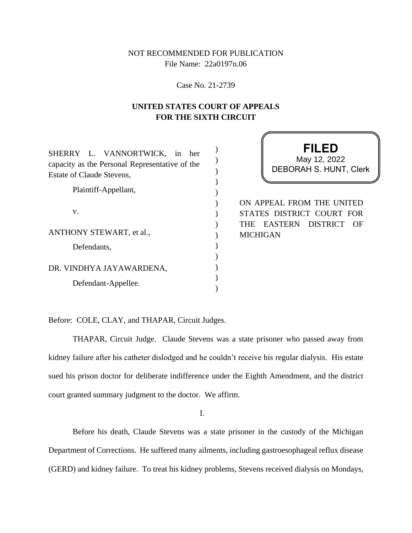# NOT RECOMMENDED FOR PUBLICATION File Name: 22a0197n.06

Case No. 21-2739

# **UNITED STATES COURT OF APPEALS FOR THE SIXTH CIRCUIT**

) ) ) ) ) )  $\lambda$ )  $\mathcal{L}$ ) ) ) )  $\lambda$ 

| SHERRY L. VANNORTWICK, in her<br>capacity as the Personal Representative of the<br>Estate of Claude Stevens, |
|--------------------------------------------------------------------------------------------------------------|
| Plaintiff-Appellant,                                                                                         |
| V.                                                                                                           |
| <b>ANTHONY STEWART, et al.,</b>                                                                              |
| Defendants,                                                                                                  |
| DR. VINDHYA JAYAWARDENA,                                                                                     |
| Defendant-Appellee.                                                                                          |

**FILED** DEBORAH S. HUNT, Clerk May 12, 2022

ON APPEAL FROM THE UNITED STATES DISTRICT COURT FOR THE EASTERN DISTRICT OF MICHIGAN

Before: COLE, CLAY, and THAPAR, Circuit Judges.

THAPAR, Circuit Judge. Claude Stevens was a state prisoner who passed away from kidney failure after his catheter dislodged and he couldn't receive his regular dialysis. His estate sued his prison doctor for deliberate indifference under the Eighth Amendment, and the district court granted summary judgment to the doctor. We affirm.

I.

Before his death, Claude Stevens was a state prisoner in the custody of the Michigan Department of Corrections. He suffered many ailments, including gastroesophageal reflux disease (GERD) and kidney failure. To treat his kidney problems, Stevens received dialysis on Mondays,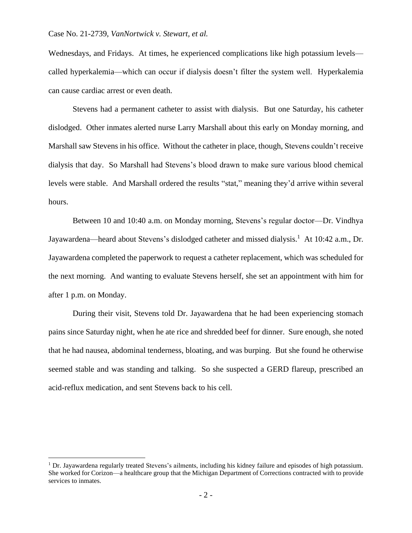Wednesdays, and Fridays. At times, he experienced complications like high potassium levels called hyperkalemia—which can occur if dialysis doesn't filter the system well. Hyperkalemia can cause cardiac arrest or even death.

Stevens had a permanent catheter to assist with dialysis. But one Saturday, his catheter dislodged. Other inmates alerted nurse Larry Marshall about this early on Monday morning, and Marshall saw Stevens in his office. Without the catheter in place, though, Stevens couldn't receive dialysis that day. So Marshall had Stevens's blood drawn to make sure various blood chemical levels were stable. And Marshall ordered the results "stat," meaning they'd arrive within several hours.

Between 10 and 10:40 a.m. on Monday morning, Stevens's regular doctor—Dr. Vindhya Jayawardena—heard about Stevens's dislodged catheter and missed dialysis.<sup>1</sup> At 10:42 a.m., Dr. Jayawardena completed the paperwork to request a catheter replacement, which was scheduled for the next morning. And wanting to evaluate Stevens herself, she set an appointment with him for after 1 p.m. on Monday.

During their visit, Stevens told Dr. Jayawardena that he had been experiencing stomach pains since Saturday night, when he ate rice and shredded beef for dinner. Sure enough, she noted that he had nausea, abdominal tenderness, bloating, and was burping. But she found he otherwise seemed stable and was standing and talking. So she suspected a GERD flareup, prescribed an acid-reflux medication, and sent Stevens back to his cell.

<sup>1</sup> Dr. Jayawardena regularly treated Stevens's ailments, including his kidney failure and episodes of high potassium. She worked for Corizon—a healthcare group that the Michigan Department of Corrections contracted with to provide services to inmates.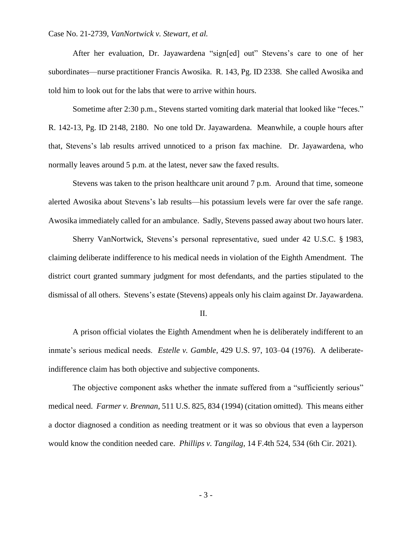After her evaluation, Dr. Jayawardena "sign[ed] out" Stevens's care to one of her subordinates—nurse practitioner Francis Awosika. R. 143, Pg. ID 2338. She called Awosika and told him to look out for the labs that were to arrive within hours.

Sometime after 2:30 p.m., Stevens started vomiting dark material that looked like "feces." R. 142-13, Pg. ID 2148, 2180. No one told Dr. Jayawardena. Meanwhile, a couple hours after that, Stevens's lab results arrived unnoticed to a prison fax machine. Dr. Jayawardena, who normally leaves around 5 p.m. at the latest, never saw the faxed results.

Stevens was taken to the prison healthcare unit around 7 p.m. Around that time, someone alerted Awosika about Stevens's lab results—his potassium levels were far over the safe range. Awosika immediately called for an ambulance. Sadly, Stevens passed away about two hours later.

Sherry VanNortwick, Stevens's personal representative, sued under 42 U.S.C. § 1983, claiming deliberate indifference to his medical needs in violation of the Eighth Amendment. The district court granted summary judgment for most defendants, and the parties stipulated to the dismissal of all others. Stevens's estate (Stevens) appeals only his claim against Dr. Jayawardena.

#### II.

A prison official violates the Eighth Amendment when he is deliberately indifferent to an inmate's serious medical needs. *Estelle v. Gamble*, 429 U.S. 97, 103–04 (1976). A deliberateindifference claim has both objective and subjective components.

The objective component asks whether the inmate suffered from a "sufficiently serious" medical need. *Farmer v. Brennan*, 511 U.S. 825, 834 (1994) (citation omitted). This means either a doctor diagnosed a condition as needing treatment or it was so obvious that even a layperson would know the condition needed care. *Phillips v. Tangilag*, 14 F.4th 524, 534 (6th Cir. 2021).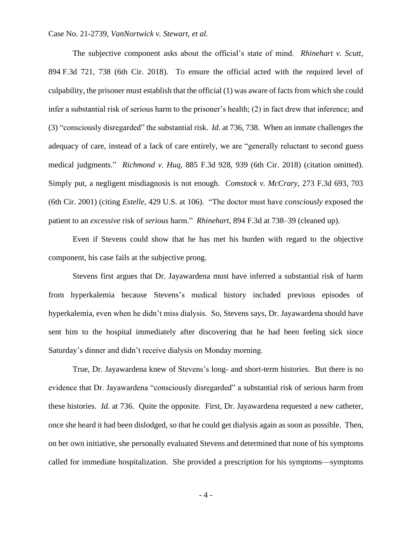The subjective component asks about the official's state of mind. *Rhinehart v. Scutt*, 894 F.3d 721, 738 (6th Cir. 2018). To ensure the official acted with the required level of culpability, the prisoner must establish that the official (1) was aware of facts from which she could infer a substantial risk of serious harm to the prisoner's health; (2) in fact drew that inference; and (3) "consciously disregarded" the substantial risk. *Id*. at 736, 738. When an inmate challenges the adequacy of care, instead of a lack of care entirely, we are "generally reluctant to second guess medical judgments." *Richmond v. Huq*, 885 F.3d 928, 939 (6th Cir. 2018) (citation omitted). Simply put, a negligent misdiagnosis is not enough. *Comstock v. McCrary*, 273 F.3d 693, 703 (6th Cir. 2001) (citing *Estelle*, 429 U.S. at 106). "The doctor must have *consciously* exposed the patient to an *excessive* risk of *serious* harm." *Rhinehart*, 894 F.3d at 738–39 (cleaned up).

Even if Stevens could show that he has met his burden with regard to the objective component, his case fails at the subjective prong.

Stevens first argues that Dr. Jayawardena must have inferred a substantial risk of harm from hyperkalemia because Stevens's medical history included previous episodes of hyperkalemia, even when he didn't miss dialysis. So, Stevens says, Dr. Jayawardena should have sent him to the hospital immediately after discovering that he had been feeling sick since Saturday's dinner and didn't receive dialysis on Monday morning.

True, Dr. Jayawardena knew of Stevens's long- and short-term histories. But there is no evidence that Dr. Jayawardena "consciously disregarded" a substantial risk of serious harm from these histories. *Id.* at 736. Quite the opposite. First, Dr. Jayawardena requested a new catheter, once she heard it had been dislodged, so that he could get dialysis again as soon as possible. Then, on her own initiative, she personally evaluated Stevens and determined that none of his symptoms called for immediate hospitalization. She provided a prescription for his symptoms—symptoms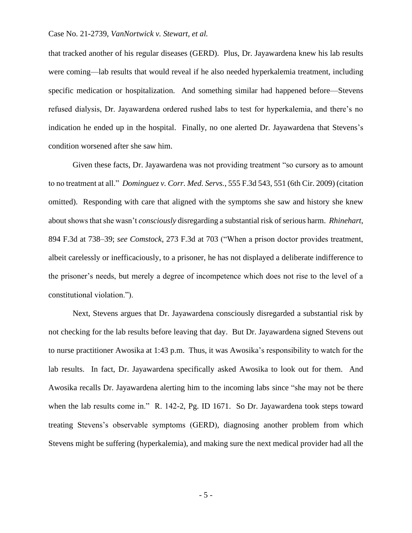that tracked another of his regular diseases (GERD). Plus, Dr. Jayawardena knew his lab results were coming—lab results that would reveal if he also needed hyperkalemia treatment, including specific medication or hospitalization. And something similar had happened before—Stevens refused dialysis, Dr. Jayawardena ordered rushed labs to test for hyperkalemia, and there's no indication he ended up in the hospital. Finally, no one alerted Dr. Jayawardena that Stevens's condition worsened after she saw him.

Given these facts, Dr. Jayawardena was not providing treatment "so cursory as to amount to no treatment at all." *Dominguez v. Corr. Med. Servs.*, 555 F.3d 543, 551 (6th Cir. 2009) (citation omitted). Responding with care that aligned with the symptoms she saw and history she knew about shows that she wasn't *consciously* disregarding a substantial risk of serious harm. *Rhinehart*, 894 F.3d at 738–39; *see Comstock*, 273 F.3d at 703 ("When a prison doctor provides treatment, albeit carelessly or inefficaciously, to a prisoner, he has not displayed a deliberate indifference to the prisoner's needs, but merely a degree of incompetence which does not rise to the level of a constitutional violation.").

Next, Stevens argues that Dr. Jayawardena consciously disregarded a substantial risk by not checking for the lab results before leaving that day. But Dr. Jayawardena signed Stevens out to nurse practitioner Awosika at 1:43 p.m. Thus, it was Awosika's responsibility to watch for the lab results. In fact, Dr. Jayawardena specifically asked Awosika to look out for them. And Awosika recalls Dr. Jayawardena alerting him to the incoming labs since "she may not be there when the lab results come in." R. 142-2, Pg. ID 1671. So Dr. Jayawardena took steps toward treating Stevens's observable symptoms (GERD), diagnosing another problem from which Stevens might be suffering (hyperkalemia), and making sure the next medical provider had all the